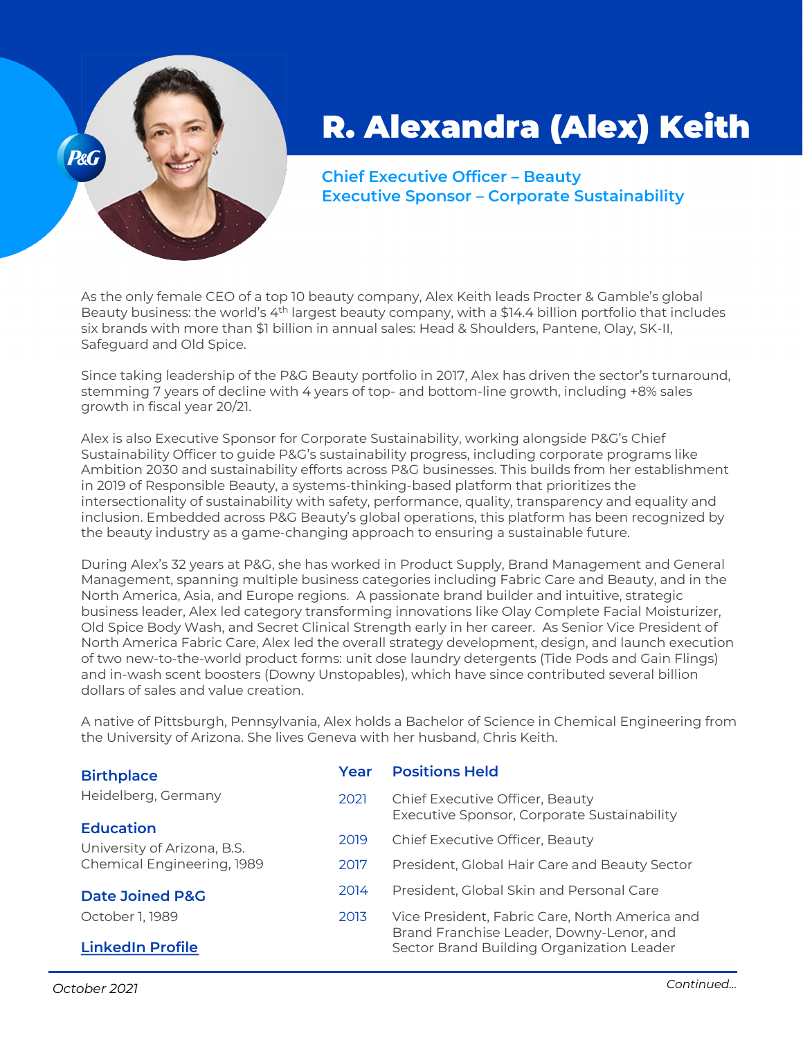

## R. Alexandra (Alex) Keith

**Chief Executive Officer – Beauty Executive Sponsor – Corporate Sustainability**

As the only female CEO of a top 10 beauty company, Alex Keith leads Procter & Gamble's global Beauty business: the world's 4th largest beauty company, with a \$14.4 billion portfolio that includes six brands with more than \$1 billion in annual sales: Head & Shoulders, Pantene, Olay, SK-II, Safeguard and Old Spice.

Since taking leadership of the P&G Beauty portfolio in 2017, Alex has driven the sector's turnaround, stemming 7 years of decline with 4 years of top- and bottom-line growth, including +8% sales growth in fiscal year 20/21.

Alex is also Executive Sponsor for Corporate Sustainability, working alongside P&G's Chief Sustainability Officer to guide P&G's sustainability progress, including corporate programs like Ambition 2030 and sustainability efforts across P&G businesses. This builds from her establishment in 2019 of Responsible Beauty, a systems-thinking-based platform that prioritizes the intersectionality of sustainability with safety, performance, quality, transparency and equality and inclusion. Embedded across P&G Beauty's global operations, this platform has been recognized by the beauty industry as a game-changing approach to ensuring a sustainable future.

During Alex's 32 years at P&G, she has worked in Product Supply, Brand Management and General Management, spanning multiple business categories including Fabric Care and Beauty, and in the North America, Asia, and Europe regions. A passionate brand builder and intuitive, strategic business leader, Alex led category transforming innovations like Olay Complete Facial Moisturizer, Old Spice Body Wash, and Secret Clinical Strength early in her career. As Senior Vice President of North America Fabric Care, Alex led the overall strategy development, design, and launch execution of two new-to-the-world product forms: unit dose laundry detergents (Tide Pods and Gain Flings) and in-wash scent boosters (Downy Unstopables), which have since contributed several billion dollars of sales and value creation.

A native of Pittsburgh, Pennsylvania, Alex holds a Bachelor of Science in Chemical Engineering from the University of Arizona. She lives Geneva with her husband, Chris Keith.

| <b>Birthplace</b>           | Year | <b>Positions Held</b>                                                                      |
|-----------------------------|------|--------------------------------------------------------------------------------------------|
| Heidelberg, Germany         | 2021 | Chief Executive Officer, Beauty<br>Executive Sponsor, Corporate Sustainability             |
| <b>Education</b>            |      |                                                                                            |
| University of Arizona, B.S. | 2019 | Chief Executive Officer, Beauty                                                            |
| Chemical Engineering, 1989  | 2017 | President, Global Hair Care and Beauty Sector                                              |
| <b>Date Joined P&amp;G</b>  | 2014 | President, Global Skin and Personal Care                                                   |
| October 1, 1989             | 2013 | Vice President, Fabric Care, North America and<br>Brand Franchise Leader, Downy-Lenor, and |
| <b>LinkedIn Profile</b>     |      | Sector Brand Building Organization Leader                                                  |